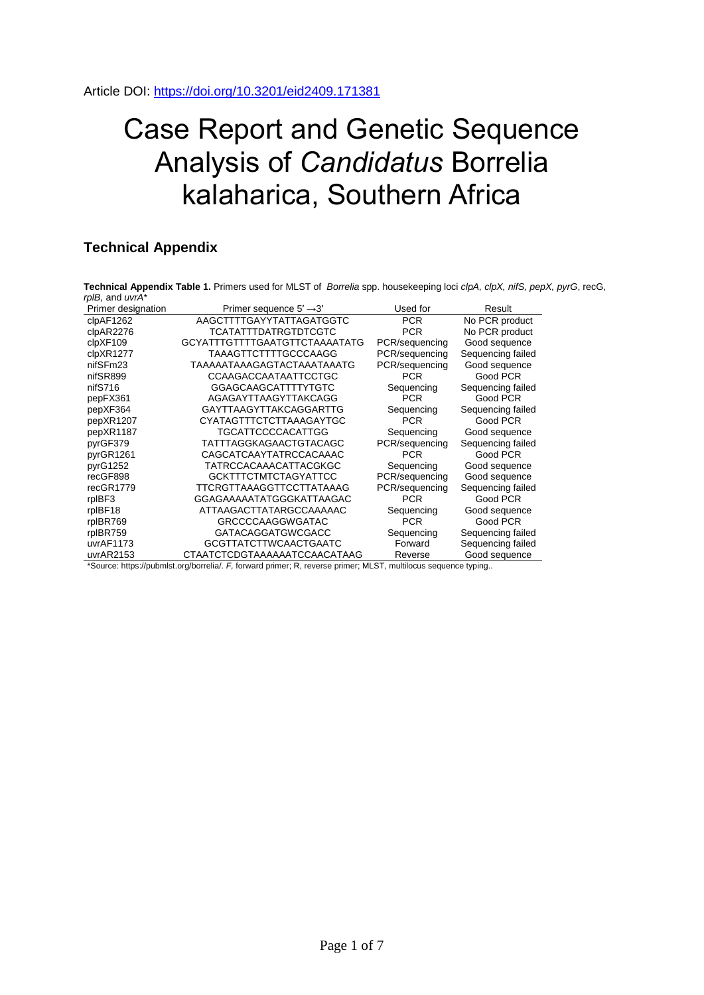## Case Report and Genetic Sequence Analysis of *Candidatus* Borrelia kalaharica, Southern Africa

## **Technical Appendix**

**Technical Appendix Table 1.** Primers used for MLST of *Borrelia* spp. housekeeping loci *clpA, clpX, nifS, pepX, pyrG*, recG, *rplB,* and *uvrA*\*

| Primer designation | Primer sequence $5' \rightarrow 3'$                                                                            | Used for       | Result            |
|--------------------|----------------------------------------------------------------------------------------------------------------|----------------|-------------------|
| clpAF1262          | AAGCTTTTGAYYTATTAGATGGTC                                                                                       | <b>PCR</b>     | No PCR product    |
| clpAR2276          | <b>TCATATTTDATRGTDTCGTC</b>                                                                                    | <b>PCR</b>     | No PCR product    |
| clpXF109           | GCYATTTGTTTTGAATGTTCTAAAATATG                                                                                  | PCR/sequencing | Good sequence     |
| clpXR1277          | TAAAGTTCTTTTGCCCAAGG                                                                                           | PCR/sequencing | Sequencing failed |
| nifSFm23           | <b>TAAAAATAAAGAGTACTAAATAAATG</b>                                                                              | PCR/sequencing | Good sequence     |
| nifSR899           | CCAAGACCAATAATTCCTGC                                                                                           | <b>PCR</b>     | Good PCR          |
| nifS716            | GGAGCAAGCATTTTYTGTC                                                                                            | Sequencing     | Sequencing failed |
| pepFX361           | AGAGAYTTAAGYTTAKCAGG                                                                                           | <b>PCR</b>     | Good PCR          |
| pepXF364           | <b>GAYTTAAGYTTAKCAGGARTTG</b>                                                                                  | Sequencing     | Sequencing failed |
| pepXR1207          | CYATAGTTTCTCTTAAAGAYTGC                                                                                        | <b>PCR</b>     | Good PCR          |
| pepXR1187          | TGCATTCCCCACATTGG                                                                                              | Sequencing     | Good sequence     |
| pyrGF379           | TATTTAGGKAGAACTGTACAGC                                                                                         | PCR/sequencing | Sequencing failed |
| pyrGR1261          | CAGCATCAAYTATRCCACAAAC                                                                                         | <b>PCR</b>     | Good PCR          |
| pyrG1252           | TATRCCACAAACATTACGKGC                                                                                          | Sequencing     | Good sequence     |
| recGF898           | <b>GCKTTTCTMTCTAGYATTCC</b>                                                                                    | PCR/sequencing | Good sequence     |
| recGR1779          | TTCRGTTAAAGGTTCCTTATAAAG                                                                                       | PCR/sequencing | Sequencing failed |
| rpIBF3             | GGAGAAAAATATGGGKATTAAGAC                                                                                       | <b>PCR</b>     | Good PCR          |
| rpIBF18            | ATTAAGACTTATARGCCAAAAAC                                                                                        | Sequencing     | Good sequence     |
| rpIBR769           | <b>GRCCCCAAGGWGATAC</b>                                                                                        | <b>PCR</b>     | Good PCR          |
| rpIBR759           | <b>GATACAGGATGWCGACC</b>                                                                                       | Sequencing     | Sequencing failed |
| uvrAF1173          | <b>GCGTTATCTTWCAACTGAATC</b>                                                                                   | Forward        | Sequencing failed |
| uvrAR2153          | CTAATCTCDGTAAAAAATCCAACATAAG                                                                                   | Reverse        | Good sequence     |
|                    | *Source: https://pubmlst.org/borrelia/. F, forward primer; R, reverse primer; MLST, multilocus sequence typing |                |                   |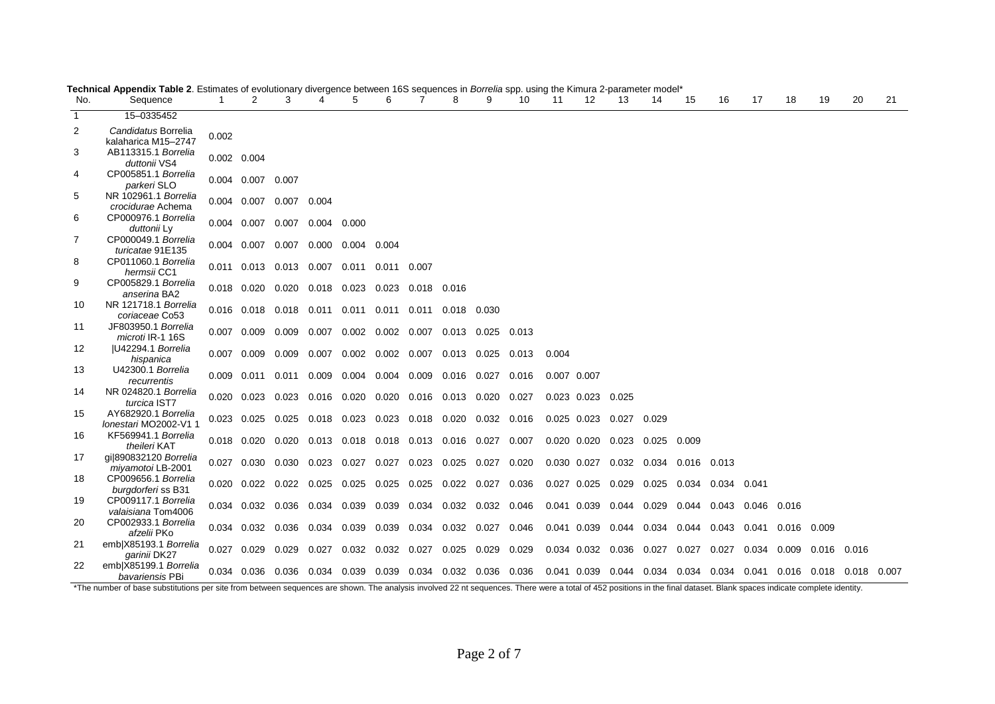| No.          | Sequence                                     |       | 2                       | 3     | 4                                                           | 5                                   | 6           |                               | 8           | 9     | 10    | 11          | 12                | 13                | 14    | 15                | 16                                                                | 17          | 18          | 19    | 20    | 21 |
|--------------|----------------------------------------------|-------|-------------------------|-------|-------------------------------------------------------------|-------------------------------------|-------------|-------------------------------|-------------|-------|-------|-------------|-------------------|-------------------|-------|-------------------|-------------------------------------------------------------------|-------------|-------------|-------|-------|----|
| $\mathbf{1}$ | 15-0335452                                   |       |                         |       |                                                             |                                     |             |                               |             |       |       |             |                   |                   |       |                   |                                                                   |             |             |       |       |    |
| 2            | Candidatus Borrelia<br>kalaharica M15-2747   | 0.002 |                         |       |                                                             |                                     |             |                               |             |       |       |             |                   |                   |       |                   |                                                                   |             |             |       |       |    |
| 3            | AB113315.1 Borrelia<br>duttonii VS4          |       | 0.002 0.004             |       |                                                             |                                     |             |                               |             |       |       |             |                   |                   |       |                   |                                                                   |             |             |       |       |    |
| 4            | CP005851.1 Borrelia<br>parkeri SLO           |       | 0.004 0.007 0.007       |       |                                                             |                                     |             |                               |             |       |       |             |                   |                   |       |                   |                                                                   |             |             |       |       |    |
| 5            | NR 102961.1 Borrelia<br>crocidurae Achema    |       | 0.004 0.007 0.007 0.004 |       |                                                             |                                     |             |                               |             |       |       |             |                   |                   |       |                   |                                                                   |             |             |       |       |    |
| 6            | CP000976.1 Borrelia<br>duttonii Ly           |       |                         |       | 0.004 0.007 0.007 0.004 0.000                               |                                     |             |                               |             |       |       |             |                   |                   |       |                   |                                                                   |             |             |       |       |    |
| 7            | CP000049.1 Borrelia<br>turicatae 91E135      |       | 0.004 0.007             |       | 0.007 0.000 0.004                                           |                                     | 0.004       |                               |             |       |       |             |                   |                   |       |                   |                                                                   |             |             |       |       |    |
| 8            | CP011060.1 Borrelia<br>hermsii CC1           |       |                         |       | 0.011  0.013  0.013  0.007  0.011  0.011  0.007             |                                     |             |                               |             |       |       |             |                   |                   |       |                   |                                                                   |             |             |       |       |    |
| 9            | CP005829.1 Borrelia<br>anserina BA2          |       |                         |       | 0.018  0.020  0.020  0.018  0.023  0.023  0.018  0.016      |                                     |             |                               |             |       |       |             |                   |                   |       |                   |                                                                   |             |             |       |       |    |
| 10           | NR 121718.1 Borrelia<br>coriaceae Co53       |       |                         |       | 0.016 0.018 0.018 0.011 0.011 0.011 0.011                   |                                     |             |                               | 0.018 0.030 |       |       |             |                   |                   |       |                   |                                                                   |             |             |       |       |    |
| 11           | JF803950.1 Borrelia<br>microti IR-1 16S      |       |                         |       | 0.007 0.009 0.009 0.007 0.002 0.002 0.007 0.013 0.025 0.013 |                                     |             |                               |             |       |       |             |                   |                   |       |                   |                                                                   |             |             |       |       |    |
| 12           | U42294.1 Borrelia<br>hispanica               |       | $0.007$ 0.009           | 0.009 | 0.007                                                       | 0.002 0.002 0.007 0.013 0.025       |             |                               |             |       | 0.013 | 0.004       |                   |                   |       |                   |                                                                   |             |             |       |       |    |
| 13           | U42300.1 Borrelia<br>recurrentis             |       | $0.009$ 0.011           |       | 0.011 0.009                                                 | 0.004 0.004 0.009 0.016 0.027 0.016 |             |                               |             |       |       | 0.007 0.007 |                   |                   |       |                   |                                                                   |             |             |       |       |    |
| 14           | NR 024820.1 Borrelia<br>turcica IST7         |       | $0.020 \quad 0.023$     |       | 0.023 0.016 0.020 0.020 0.016 0.013 0.020 0.027             |                                     |             |                               |             |       |       |             | 0.023 0.023       | 0.025             |       |                   |                                                                   |             |             |       |       |    |
| 15           | AY682920.1 Borrelia<br>Ionestari MO2002-V1 1 |       | $0.023$ 0.025           |       | 0.025  0.018  0.023  0.023  0.018  0.020  0.032  0.016      |                                     |             |                               |             |       |       |             | 0.025 0.023       | 0.027             | 0.029 |                   |                                                                   |             |             |       |       |    |
| 16           | KF569941.1 Borrelia<br>theileri KAT          |       | $0.018$ 0.020           |       | 0.020 0.013 0.018                                           |                                     |             | 0.018  0.013  0.016  0.027    |             |       | 0.007 |             | 0.020 0.020       | 0.023             | 0.025 | 0.009             |                                                                   |             |             |       |       |    |
| 17           | gi 890832120 Borrelia<br>miyamotoi LB-2001   | 0.027 | 0.030                   |       | 0.030 0.023                                                 | 0.027                               |             | 0.027 0.023 0.025 0.027       |             |       | 0.020 |             |                   | 0.030 0.027 0.032 |       | 0.034 0.016 0.013 |                                                                   |             |             |       |       |    |
| 18           | CP009656.1 Borrelia<br>burgdorferi ss B31    |       | $0.020$ $0.022$         |       | 0.022 0.025                                                 | 0.025                               |             | 0.025 0.025 0.022 0.027 0.036 |             |       |       |             | 0.027 0.025       | 0.029             | 0.025 | 0.034             | 0.034 0.041                                                       |             |             |       |       |    |
| 19           | CP009117.1 Borrelia<br>valaisiana Tom4006    |       | 0.034 0.032             |       | 0.036 0.034 0.039                                           |                                     |             | 0.039 0.034 0.032 0.032 0.046 |             |       |       |             | 0.041 0.039       | 0.044             | 0.029 | 0.044             | 0.043                                                             | 0.046 0.016 |             |       |       |    |
| 20           | CP002933.1 Borrelia<br>afzelii PKo           |       | $0.034$ 0.032           | 0.036 | 0.034                                                       | 0.039                               |             | 0.039 0.034 0.032 0.027       |             |       | 0.046 |             | 0.041 0.039 0.044 |                   |       | 0.034 0.044       | 0.043 0.041                                                       |             | 0.016 0.009 |       |       |    |
| 21           | emb X85193.1 Borrelia<br>qarinii DK27        | 0.027 | 0.029                   | 0.029 | 0.027                                                       | 0.032                               | 0.032 0.027 |                               | 0.025       | 0.029 | 0.029 |             | 0.034 0.032 0.036 |                   | 0.027 | 0.027             | 0.027                                                             | 0.034       | 0.009       | 0.016 | 0.016 |    |
| 22           | emb X85199.1 Borrelia<br>bavariensis PBi     |       |                         |       | 0.034 0.036 0.036 0.034 0.039 0.039 0.034 0.032 0.036 0.036 |                                     |             |                               |             |       |       |             |                   |                   |       |                   | 0.041 0.039 0.044 0.034 0.034 0.034 0.041 0.016 0.018 0.018 0.007 |             |             |       |       |    |

**Technical Appendix Table 2**. Estimates of evolutionary divergence between 16S sequences in *Borrelia* spp. using the Kimura 2-parameter model\*

\*The number of base substitutions per site from between sequences are shown. The analysis involved 22 nt sequences. There were a total of 452 positions in the final dataset. Blank spaces indicate complete identity.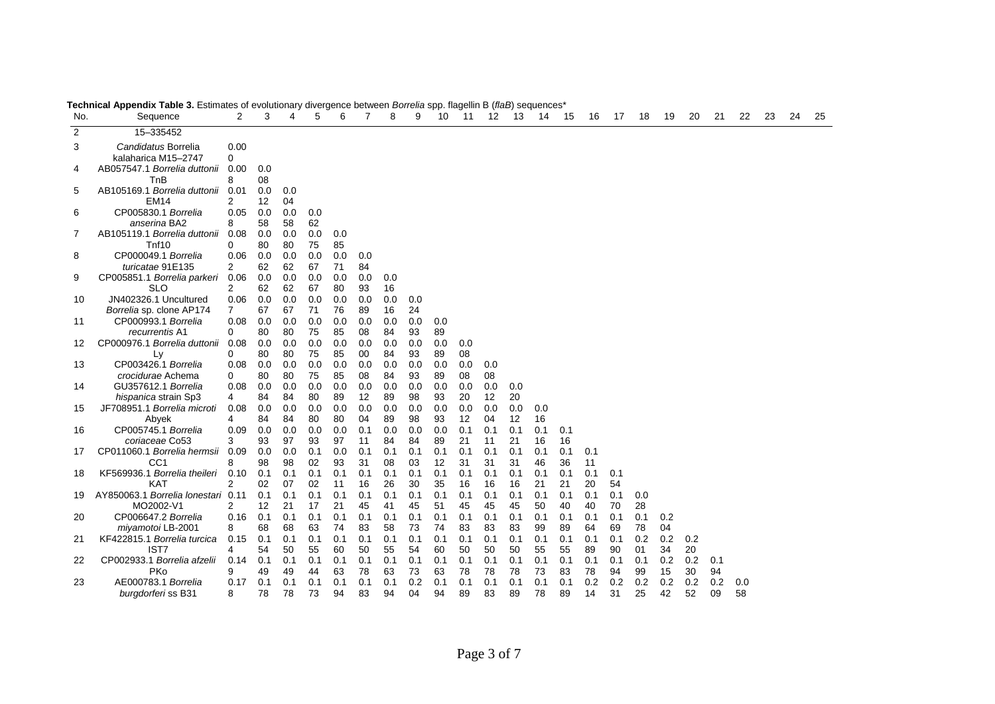| No. | Sequence                                          | $\overline{2}$         | 3         | 4         | 5         | 6         | 7         | 8         | 9         | 10        | 11        | 12        | 13        | 14        | 15        | 16        | 17        | 18        | 19        | 20        | 21        | 22        | 23 | 24 | 25 |
|-----|---------------------------------------------------|------------------------|-----------|-----------|-----------|-----------|-----------|-----------|-----------|-----------|-----------|-----------|-----------|-----------|-----------|-----------|-----------|-----------|-----------|-----------|-----------|-----------|----|----|----|
| 2   | 15-335452                                         |                        |           |           |           |           |           |           |           |           |           |           |           |           |           |           |           |           |           |           |           |           |    |    |    |
| 3   | Candidatus Borrelia<br>kalaharica M15-2747        | 0.00<br>0              |           |           |           |           |           |           |           |           |           |           |           |           |           |           |           |           |           |           |           |           |    |    |    |
| 4   | AB057547.1 Borrelia duttonii<br>TnB               | 0.00<br>8              | 0.0<br>08 |           |           |           |           |           |           |           |           |           |           |           |           |           |           |           |           |           |           |           |    |    |    |
| 5   | AB105169.1 Borrelia duttonii<br><b>EM14</b>       | 0.01<br>2              | 0.0<br>12 | 0.0<br>04 |           |           |           |           |           |           |           |           |           |           |           |           |           |           |           |           |           |           |    |    |    |
| 6   | CP005830.1 Borrelia<br>anserina BA2               | 0.05<br>8              | 0.0<br>58 | 0.0<br>58 | 0.0<br>62 |           |           |           |           |           |           |           |           |           |           |           |           |           |           |           |           |           |    |    |    |
| 7   | AB105119.1 Borrelia duttonii<br>Tnf10             | 0.08<br>0              | 0.0<br>80 | 0.0<br>80 | 0.0<br>75 | 0.0<br>85 |           |           |           |           |           |           |           |           |           |           |           |           |           |           |           |           |    |    |    |
| 8   | CP000049.1 Borrelia<br>turicatae 91E135           | 0.06<br>$\overline{2}$ | 0.0<br>62 | 0.0<br>62 | 0.0<br>67 | 0.0<br>71 | 0.0<br>84 |           |           |           |           |           |           |           |           |           |           |           |           |           |           |           |    |    |    |
| 9   | CP005851.1 Borrelia parkeri<br>SLO                | 0.06<br>2              | 0.0<br>62 | 0.0<br>62 | 0.0<br>67 | 0.0<br>80 | 0.0<br>93 | 0.0<br>16 |           |           |           |           |           |           |           |           |           |           |           |           |           |           |    |    |    |
| 10  | JN402326.1 Uncultured<br>Borrelia sp. clone AP174 | 0.06<br>$\overline{7}$ | 0.0<br>67 | 0.0<br>67 | 0.0<br>71 | 0.0<br>76 | 0.0<br>89 | 0.0<br>16 | 0.0<br>24 |           |           |           |           |           |           |           |           |           |           |           |           |           |    |    |    |
| 11  | CP000993.1 Borrelia<br>recurrentis A1             | 0.08<br>0              | 0.0<br>80 | 0.0<br>80 | 0.0<br>75 | 0.0<br>85 | 0.0<br>08 | 0.0<br>84 | 0.0<br>93 | 0.0<br>89 |           |           |           |           |           |           |           |           |           |           |           |           |    |    |    |
| 12  | CP000976.1 Borrelia duttonii<br>Ly                | 0.08<br>0              | 0.0<br>80 | 0.0<br>80 | 0.0<br>75 | 0.0<br>85 | 0.0<br>00 | 0.0<br>84 | 0.0<br>93 | 0.0<br>89 | 0.0<br>08 |           |           |           |           |           |           |           |           |           |           |           |    |    |    |
| 13  | CP003426.1 Borrelia<br>crocidurae Achema          | 0.08<br>0              | 0.0<br>80 | 0.0<br>80 | 0.0<br>75 | 0.0<br>85 | 0.0<br>08 | 0.0<br>84 | 0.0<br>93 | 0.0<br>89 | 0.0<br>08 | 0.0<br>08 |           |           |           |           |           |           |           |           |           |           |    |    |    |
| 14  | GU357612.1 Borrelia<br>hispanica strain Sp3       | 0.08<br>4              | 0.0<br>84 | 0.0<br>84 | 0.0<br>80 | 0.0<br>89 | 0.0<br>12 | 0.0<br>89 | 0.0<br>98 | 0.0<br>93 | 0.0<br>20 | 0.0<br>12 | 0.0<br>20 |           |           |           |           |           |           |           |           |           |    |    |    |
| 15  | JF708951.1 Borrelia microti<br>Abyek              | 0.08<br>4              | 0.0<br>84 | 0.0<br>84 | 0.0<br>80 | 0.0<br>80 | 0.0<br>04 | 0.0<br>89 | 0.0<br>98 | 0.0<br>93 | 0.0<br>12 | 0.0<br>04 | 0.0<br>12 | 0.0<br>16 |           |           |           |           |           |           |           |           |    |    |    |
| 16  | CP005745.1 Borrelia<br>coriaceae Co53             | 0.09<br>3              | 0.0<br>93 | 0.0<br>97 | 0.0<br>93 | 0.0<br>97 | 0.1<br>11 | 0.0<br>84 | 0.0<br>84 | 0.0<br>89 | 0.1<br>21 | 0.1<br>11 | 0.1<br>21 | 0.1<br>16 | 0.1<br>16 |           |           |           |           |           |           |           |    |    |    |
| 17  | CP011060.1 Borrelia hermsii<br>CC <sub>1</sub>    | 0.09<br>8              | 0.0<br>98 | 0.0<br>98 | 0.1<br>02 | 0.0<br>93 | 0.1<br>31 | 0.1<br>08 | 0.1<br>03 | 0.1<br>12 | 0.1<br>31 | 0.1<br>31 | 0.1<br>31 | 0.1<br>46 | 0.1<br>36 | 0.1<br>11 |           |           |           |           |           |           |    |    |    |
| 18  | KF569936.1 Borrelia theileri<br><b>KAT</b>        | 0.10<br>2              | 0.1<br>02 | 0.1<br>07 | 0.1<br>02 | 0.1<br>11 | 0.1<br>16 | 0.1<br>26 | 0.1<br>30 | 0.1<br>35 | 0.1<br>16 | 0.1<br>16 | 0.1<br>16 | 0.1<br>21 | 0.1<br>21 | 0.1<br>20 | 0.1<br>54 |           |           |           |           |           |    |    |    |
| 19  | AY850063.1 Borrelia lonestari 0.11<br>MO2002-V1   | 2                      | 0.1<br>12 | 0.1<br>21 | 0.1<br>17 | 0.1<br>21 | 0.1<br>45 | 0.1<br>41 | 0.1<br>45 | 0.1<br>51 | 0.1<br>45 | 0.1<br>45 | 0.1<br>45 | 0.1<br>50 | 0.1<br>40 | 0.1<br>40 | 0.1<br>70 | 0.0<br>28 |           |           |           |           |    |    |    |
| 20  | CP006647.2 Borrelia<br>miyamotoi LB-2001          | 0.16<br>8              | 0.1<br>68 | 0.1<br>68 | 0.1<br>63 | 0.1<br>74 | 0.1<br>83 | 0.1<br>58 | 0.1<br>73 | 0.1<br>74 | 0.1<br>83 | 0.1<br>83 | 0.1<br>83 | 0.1<br>99 | 0.1<br>89 | 0.1<br>64 | 0.1<br>69 | 0.1<br>78 | 0.2<br>04 |           |           |           |    |    |    |
| 21  | KF422815.1 Borrelia turcica<br>IST7               | 0.15<br>4              | 0.1<br>54 | 0.1<br>50 | 0.1<br>55 | 0.1<br>60 | 0.1<br>50 | 0.1<br>55 | 0.1<br>54 | 0.1<br>60 | 0.1<br>50 | 0.1<br>50 | 0.1<br>50 | 0.1<br>55 | 0.1<br>55 | 0.1<br>89 | 0.1<br>90 | 0.2<br>01 | 0.2<br>34 | 0.2<br>20 |           |           |    |    |    |
| 22  | CP002933.1 Borrelia afzelii<br>PKo                | 0.14<br>9              | 0.1<br>49 | 0.1<br>49 | 0.1<br>44 | 0.1<br>63 | 0.1<br>78 | 0.1<br>63 | 0.1<br>73 | 0.1<br>63 | 0.1<br>78 | 0.1<br>78 | 0.1<br>78 | 0.1<br>73 | 0.1<br>83 | 0.1<br>78 | 0.1<br>94 | 0.1<br>99 | 0.2<br>15 | 0.2<br>30 | 0.1<br>94 |           |    |    |    |
| 23  | AE000783.1 Borrelia<br>burgdorferi ss B31         | 0.17<br>8              | 0.1<br>78 | 0.1<br>78 | 0.1<br>73 | 0.1<br>94 | 0.1<br>83 | 0.1<br>94 | 0.2<br>04 | 0.1<br>94 | 0.1<br>89 | 0.1<br>83 | 0.1<br>89 | 0.1<br>78 | 0.1<br>89 | 0.2<br>14 | 0.2<br>31 | 0.2<br>25 | 0.2<br>42 | 0.2<br>52 | 0.2<br>09 | 0.0<br>58 |    |    |    |

**Technical Appendix Table 3.** Estimates of evolutionary divergence between *Borrelia* spp. flagellin B (*flaB*) sequences\*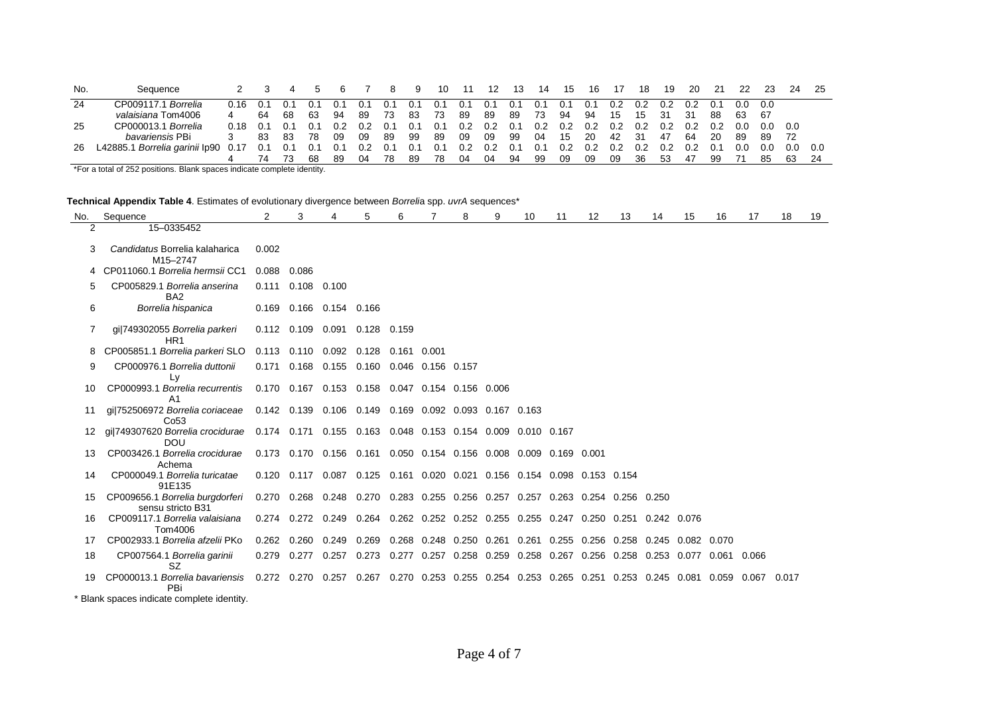| No. | Sequence                            |      |      |     |     |     |     |       | 9     | 10  | 11  | 12  | 13  | 14  | 15  | 16  | 17  | 18  | 19  | 20  | -21 | 22  | 23  | 24   | -25 |
|-----|-------------------------------------|------|------|-----|-----|-----|-----|-------|-------|-----|-----|-----|-----|-----|-----|-----|-----|-----|-----|-----|-----|-----|-----|------|-----|
| 24  | Borrelia<br>CP009117.1              | 0.16 | .O.1 | 0.1 |     |     |     | (1.1) |       | 0.7 |     | 0.1 | 0.1 | 0.1 | 0.1 | 0.1 | 0.2 | 0.2 | 0.2 | 0.2 | 0.1 | 0.0 | 0.0 |      |     |
|     | valaisiana Tom4006                  |      | 64   | 68  | 63  | 94  | 89  | 73    | 83    | 73  | 89  | 89  | 89  | 73  | 94  | 94  | 15  | 15  | 31  | 31  | 88  | 63  | -67 |      |     |
| 25  | CP000013.1 Borrelia                 | 0.18 | 0.1  | 0.1 | 0.1 | 0.2 | 0.2 | 0.1   |       | 0.1 | 0.2 | 0.2 | 0.1 | 0.2 | 0.2 | 0.2 | 0.2 | 0.2 | 0.2 | 0.2 | 0.2 | 0.0 | 0.0 | 0.0  |     |
|     | <i>bavariensis</i> PBi              |      | 83   | -83 | 78  | -09 | 09  | 89    | -99   | -89 | 09  | 09  | 99  | 04  | 15  | 20  | 42  | -31 | 47  | 64  | -20 | 89  | 89  | - 72 |     |
| 26  | L42885.1 Borrelia garinii Ip90 0.17 |      | 0.1  | 0.1 |     | 0.1 | 0.2 | 0.1   | - 0.1 | 0.1 | 0.2 | 0.2 | 0.1 | 0.1 | 0.2 | 0.2 | 0.2 | 0.2 | 0.2 | 0.2 | 0.1 | 0.0 | 0.0 | 0.0  | 0.0 |
|     |                                     |      |      | 73  | 68  | 89  | 04  | 78    | -89   | 78  | 04  | 04  | 94  | 99  | 09  | 09  | 09  | 36  | -53 | -47 | 99  |     | 85  | 63   | -24 |

\*For a total of 252 positions. Blank spaces indicate complete identity.

| <b>Technical Appendix Table 4</b> . Estimates of evolutionary divergence between <i>Borreli</i> a spp. <i>uvrA</i> sequences* |  |  |  |
|-------------------------------------------------------------------------------------------------------------------------------|--|--|--|
|                                                                                                                               |  |  |  |

| No. | Sequence                                                                                                           | 2           | 3                                                                                   | 4     | 5                                                                       | 6     |       | 8 | 9 | 10                                                                | 11 | 12 | 13 | 14 | 15 | 16          | 17          | 18 | 19 |
|-----|--------------------------------------------------------------------------------------------------------------------|-------------|-------------------------------------------------------------------------------------|-------|-------------------------------------------------------------------------|-------|-------|---|---|-------------------------------------------------------------------|----|----|----|----|----|-------------|-------------|----|----|
| 2   | 15-0335452                                                                                                         |             |                                                                                     |       |                                                                         |       |       |   |   |                                                                   |    |    |    |    |    |             |             |    |    |
|     | Candidatus Borrelia kalaharica<br>M15-2747                                                                         | 0.002       |                                                                                     |       |                                                                         |       |       |   |   |                                                                   |    |    |    |    |    |             |             |    |    |
|     | CP011060.1 Borrelia hermsii CC1                                                                                    | 0.088 0.086 |                                                                                     |       |                                                                         |       |       |   |   |                                                                   |    |    |    |    |    |             |             |    |    |
| 5   | CP005829.1 Borrelia anserina<br>BA <sub>2</sub>                                                                    |             | $0.111$ $0.108$ $0.100$                                                             |       |                                                                         |       |       |   |   |                                                                   |    |    |    |    |    |             |             |    |    |
| 6   | Borrelia hispanica                                                                                                 |             | 0.169  0.166  0.154  0.166                                                          |       |                                                                         |       |       |   |   |                                                                   |    |    |    |    |    |             |             |    |    |
|     | gil749302055 Borrelia parkeri<br>HR <sub>1</sub>                                                                   |             | 0.112  0.109  0.091                                                                 |       | 0.128 0.159                                                             |       |       |   |   |                                                                   |    |    |    |    |    |             |             |    |    |
|     | CP005851.1 Borrelia parkeri SLO                                                                                    |             | 0.113 0.110                                                                         | 0.092 | 0.128                                                                   | 0.161 | 0.001 |   |   |                                                                   |    |    |    |    |    |             |             |    |    |
| 9   | CP000976.1 Borrelia duttonii<br>Ly                                                                                 | 0.171       | 0.168  0.155  0.160  0.046  0.156  0.157                                            |       |                                                                         |       |       |   |   |                                                                   |    |    |    |    |    |             |             |    |    |
| 10. | CP000993.1 Borrelia recurrentis<br>A <sub>1</sub>                                                                  |             | 0.170  0.167  0.153  0.158  0.047  0.154  0.156  0.006                              |       |                                                                         |       |       |   |   |                                                                   |    |    |    |    |    |             |             |    |    |
| 11  | gi 752506972 Borrelia coriaceae  0.142  0.139  0.106  0.149  0.169  0.092  0.093  0.167  0.163<br>Co <sub>53</sub> |             |                                                                                     |       |                                                                         |       |       |   |   |                                                                   |    |    |    |    |    |             |             |    |    |
|     | qil749307620 Borrelia crocidurae  0.174  0.171  0.155  0.163  0.048  0.153  0.154  0.009  0.010  0.167<br>DOU      |             |                                                                                     |       |                                                                         |       |       |   |   |                                                                   |    |    |    |    |    |             |             |    |    |
| 13  | CP003426.1 Borrelia crocidurae<br>Achema                                                                           |             | 0.173  0.170  0.156  0.161  0.050  0.154  0.156  0.008  0.009  0.169  0.001         |       |                                                                         |       |       |   |   |                                                                   |    |    |    |    |    |             |             |    |    |
| 14  | CP000049.1 Borrelia turicatae<br>91E135                                                                            |             | 0.120 0.117 0.087 0.125 0.161 0.020 0.021 0.156 0.154 0.098 0.153 0.154             |       |                                                                         |       |       |   |   |                                                                   |    |    |    |    |    |             |             |    |    |
| 15  | CP009656.1 Borrelia burgdorferi<br>sensu stricto B31                                                               |             | 0.270 0.268 0.248 0.270 0.283 0.255 0.256 0.257 0.257 0.263 0.254 0.256 0.250       |       |                                                                         |       |       |   |   |                                                                   |    |    |    |    |    |             |             |    |    |
| 16  | CP009117.1 Borrelia valaisiana<br>Tom4006                                                                          |             | 0.274 0.272 0.249 0.264 0.262 0.252 0.252 0.255 0.255 0.247 0.250 0.251 0.242 0.076 |       |                                                                         |       |       |   |   |                                                                   |    |    |    |    |    |             |             |    |    |
| 17  | CP002933.1 Borrelia afzelii PKo                                                                                    |             | $0.262$ $0.260$                                                                     | 0.249 | 0.269                                                                   |       |       |   |   | 0.268 0.248 0.250 0.261 0.261 0.255 0.256 0.258 0.245 0.082 0.070 |    |    |    |    |    |             |             |    |    |
| 18  | CP007564.1 Borrelia garinii<br><b>SZ</b>                                                                           | 0.279       | 0.277                                                                               | 0.257 | 0.273 0.277 0.257 0.258 0.259 0.258 0.267 0.256 0.258 0.253 0.077       |       |       |   |   |                                                                   |    |    |    |    |    | 0.061 0.066 |             |    |    |
| 19  | CP000013.1 Borrelia bavariensis<br>PBi                                                                             |             | 0.272 0.270                                                                         | 0.257 | 0.267 0.270 0.253 0.255 0.254 0.253 0.265 0.251 0.253 0.245 0.081 0.059 |       |       |   |   |                                                                   |    |    |    |    |    |             | 0.067 0.017 |    |    |
|     | * Blank spaces indicate complete identity.                                                                         |             |                                                                                     |       |                                                                         |       |       |   |   |                                                                   |    |    |    |    |    |             |             |    |    |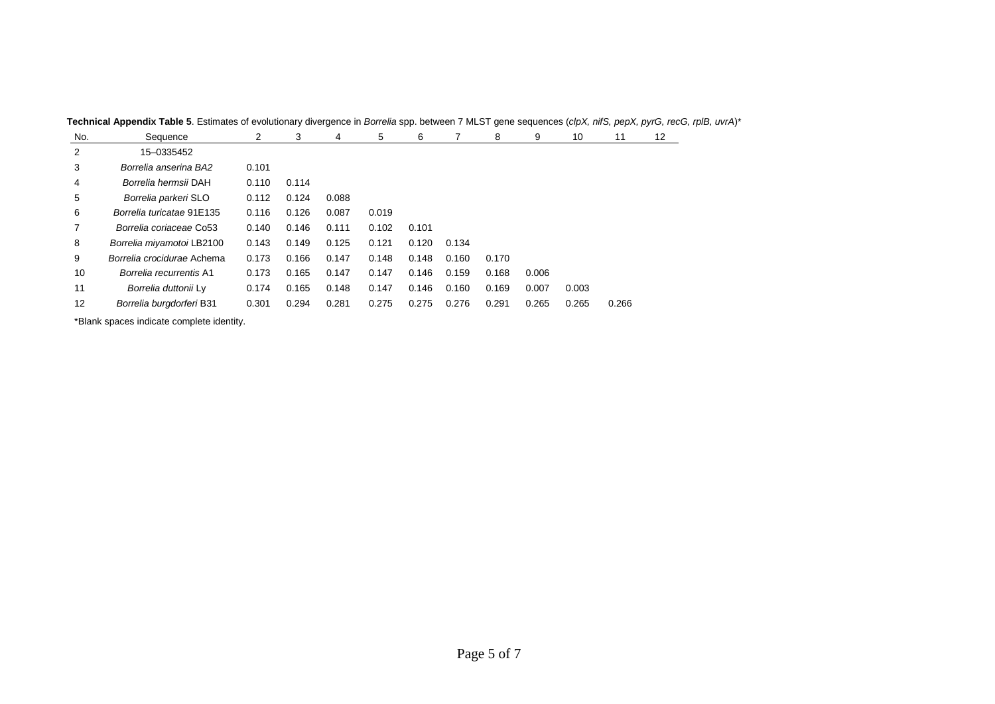| No. | Sequence                   | 2     | 3     | 4     | 5     | 6     |       | 8     | 9     | 10    | 11    | 12 |
|-----|----------------------------|-------|-------|-------|-------|-------|-------|-------|-------|-------|-------|----|
| 2   | 15-0335452                 |       |       |       |       |       |       |       |       |       |       |    |
| 3   | Borrelia anserina BA2      | 0.101 |       |       |       |       |       |       |       |       |       |    |
| 4   | Borrelia hermsii DAH       | 0.110 | 0.114 |       |       |       |       |       |       |       |       |    |
| 5   | Borrelia parkeri SLO       | 0.112 | 0.124 | 0.088 |       |       |       |       |       |       |       |    |
| 6   | Borrelia turicatae 91E135  | 0.116 | 0.126 | 0.087 | 0.019 |       |       |       |       |       |       |    |
| 7   | Borrelia coriaceae Co53    | 0.140 | 0.146 | 0.111 | 0.102 | 0.101 |       |       |       |       |       |    |
| 8   | Borrelia miyamotoi LB2100  | 0.143 | 0.149 | 0.125 | 0.121 | 0.120 | 0.134 |       |       |       |       |    |
| 9   | Borrelia crocidurae Achema | 0.173 | 0.166 | 0.147 | 0.148 | 0.148 | 0.160 | 0.170 |       |       |       |    |
| 10  | Borrelia recurrentis A1    | 0.173 | 0.165 | 0.147 | 0.147 | 0.146 | 0.159 | 0.168 | 0.006 |       |       |    |
| 11  | Borrelia duttonii Ly       | 0.174 | 0.165 | 0.148 | 0.147 | 0.146 | 0.160 | 0.169 | 0.007 | 0.003 |       |    |
| 12  | Borrelia burgdorferi B31   | 0.301 | 0.294 | 0.281 | 0.275 | 0.275 | 0.276 | 0.291 | 0.265 | 0.265 | 0.266 |    |

**Technical Appendix Table 5**. Estimates of evolutionary divergence in *Borrelia* spp. between 7 MLST gene sequences (*clpX, nifS, pepX, pyrG, recG, rplB, uvrA*)\*

\*Blank spaces indicate complete identity.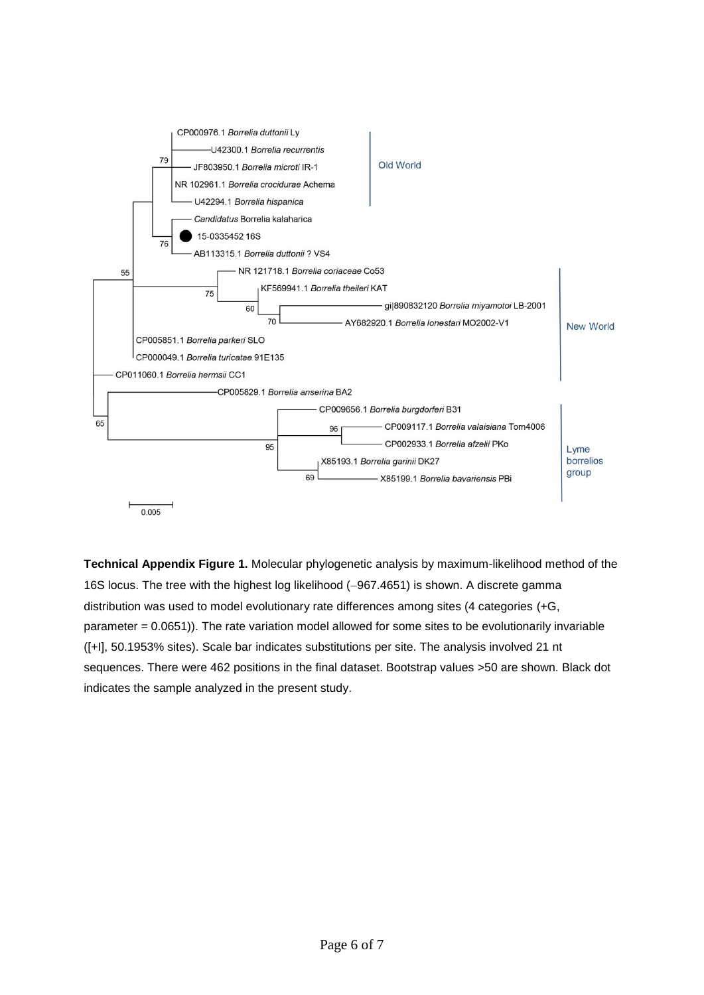

**Technical Appendix Figure 1.** Molecular phylogenetic analysis by maximum-likelihood method of the 16S locus. The tree with the highest log likelihood (-967.4651) is shown. A discrete gamma distribution was used to model evolutionary rate differences among sites (4 categories (+G, parameter = 0.0651)). The rate variation model allowed for some sites to be evolutionarily invariable ([+I], 50.1953% sites). Scale bar indicates substitutions per site. The analysis involved 21 nt sequences. There were 462 positions in the final dataset. Bootstrap values >50 are shown. Black dot indicates the sample analyzed in the present study.